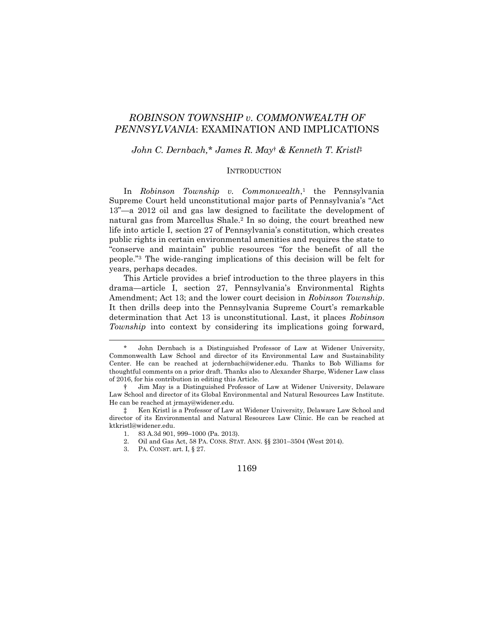# *ROBINSON TOWNSHIP v. COMMONWEALTH OF PENNSYLVANIA*: EXAMINATION AND IMPLICATIONS

# *John C. Dernbach,*\* *James R. May*† *& Kenneth T. Kristl*‡

## **INTRODUCTION**

In *Robinson Township v. Commonwealth*, <sup>1</sup> the Pennsylvania Supreme Court held unconstitutional major parts of Pennsylvania's "Act 13"—a 2012 oil and gas law designed to facilitate the development of natural gas from Marcellus Shale.<sup>2</sup> In so doing, the court breathed new life into article I, section 27 of Pennsylvania's constitution, which creates public rights in certain environmental amenities and requires the state to "conserve and maintain" public resources "for the benefit of all the people."<sup>3</sup> The wide-ranging implications of this decision will be felt for years, perhaps decades.

This Article provides a brief introduction to the three players in this drama—article I, section 27, Pennsylvania's Environmental Rights Amendment; Act 13; and the lower court decision in *Robinson Township*. It then drills deep into the Pennsylvania Supreme Court's remarkable determination that Act 13 is unconstitutional. Last, it places *Robinson Township* into context by considering its implications going forward,

John Dernbach is a Distinguished Professor of Law at Widener University, Commonwealth Law School and director of its Environmental Law and Sustainability Center. He can be reached at jcdernbach@widener.edu. Thanks to Bob Williams for thoughtful comments on a prior draft. Thanks also to Alexander Sharpe, Widener Law class of 2016, for his contribution in editing this Article.

<sup>†</sup> Jim May is a Distinguished Professor of Law at Widener University, Delaware Law School and director of its Global Environmental and Natural Resources Law Institute. He can be reached at jrmay@widener.edu.

<sup>‡</sup> Ken Kristl is a Professor of Law at Widener University, Delaware Law School and director of its Environmental and Natural Resources Law Clinic. He can be reached at ktkristl@widener.edu.

<sup>1.</sup> 83 A.3d 901, 999–1000 (Pa. 2013).

<sup>2.</sup> Oil and Gas Act, 58 PA. CONS. STAT. ANN. §§ 2301–3504 (West 2014).

<sup>3.</sup> PA. CONST. art. I, § 27.

<sup>1169</sup>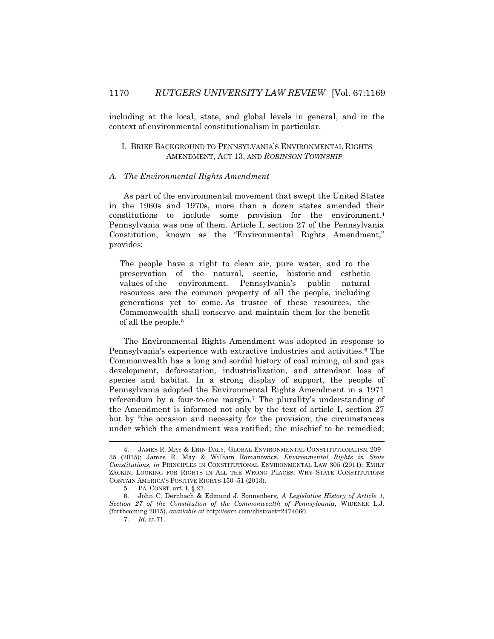including at the local, state, and global levels in general, and in the context of environmental constitutionalism in particular.

## I. BRIEF BACKGROUND TO PENNSYLVANIA'S ENVIRONMENTAL RIGHTS AMENDMENT, ACT 13, AND *ROBINSON TOWNSHIP*

#### *A. The Environmental Rights Amendment*

As part of the environmental movement that swept the United States in the 1960s and 1970s, more than a dozen states amended their constitutions to include some provision for the environment.<sup>4</sup> Pennsylvania was one of them. Article I, section 27 of the Pennsylvania Constitution, known as the "Environmental Rights Amendment," provides:

The people have a right to clean air, pure water, and to the preservation of the natural, scenic, historic and esthetic values of the environment. Pennsylvania's public natural resources are the common property of all the people, including generations yet to come. As trustee of these resources, the Commonwealth shall conserve and maintain them for the benefit of all the people.<sup>5</sup>

The Environmental Rights Amendment was adopted in response to Pennsylvania's experience with extractive industries and activities.<sup>6</sup> The Commonwealth has a long and sordid history of coal mining, oil and gas development, deforestation, industrialization, and attendant loss of species and habitat. In a strong display of support, the people of Pennsylvania adopted the Environmental Rights Amendment in a 1971 referendum by a four-to-one margin.<sup>7</sup> The plurality's understanding of the Amendment is informed not only by the text of article I, section 27 but by "the occasion and necessity for the provision; the circumstances under which the amendment was ratified; the mischief to be remedied;

<sup>4.</sup> JAMES R. MAY & ERIN DALY, GLOBAL ENVIRONMENTAL CONSTITUTIONALISM 209– 35 (2015); James R. May & William Romanowicz, *Environmental Rights in State Constitutions*, *in* PRINCIPLES IN CONSTITUTIONAL ENVIRONMENTAL LAW 305 (2011); EMILY ZACKIN, LOOKING FOR RIGHTS IN ALL THE WRONG PLACES: WHY STATE CONSTITUTIONS CONTAIN AMERICA'S POSITIVE RIGHTS 150–51 (2013).

<sup>5.</sup> PA. CONST. art. I, § 27.

<sup>6.</sup> John C. Dernbach & Edmund J. Sonnenberg, *A Legislative History of Article 1, Section 27 of the Constitution of the Commonwealth of Pennsylvania*, WIDENER L.J. (forthcoming 2015), *available at* http://ssrn.com/abstract=2474660.

<sup>7.</sup> *Id.* at 71.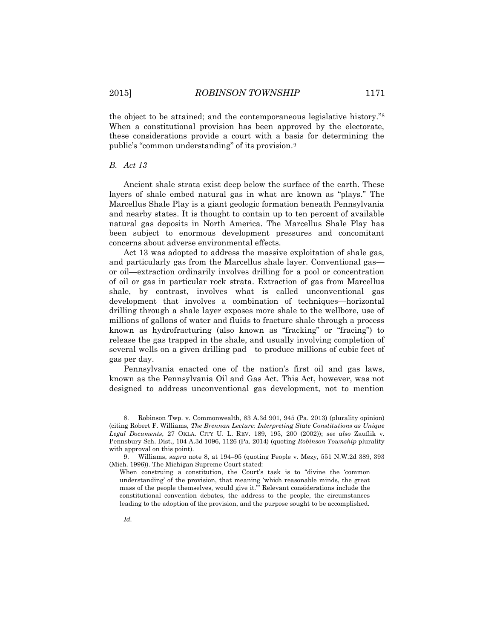the object to be attained; and the contemporaneous legislative history."<sup>8</sup> When a constitutional provision has been approved by the electorate, these considerations provide a court with a basis for determining the public's "common understanding" of its provision.<sup>9</sup>

### *B. Act 13*

Ancient shale strata exist deep below the surface of the earth. These layers of shale embed natural gas in what are known as "plays." The Marcellus Shale Play is a giant geologic formation beneath Pennsylvania and nearby states. It is thought to contain up to ten percent of available natural gas deposits in North America. The Marcellus Shale Play has been subject to enormous development pressures and concomitant concerns about adverse environmental effects.

Act 13 was adopted to address the massive exploitation of shale gas, and particularly gas from the Marcellus shale layer. Conventional gas or oil—extraction ordinarily involves drilling for a pool or concentration of oil or gas in particular rock strata. Extraction of gas from Marcellus shale, by contrast, involves what is called unconventional gas development that involves a combination of techniques—horizontal drilling through a shale layer exposes more shale to the wellbore, use of millions of gallons of water and fluids to fracture shale through a process known as hydrofracturing (also known as "fracking" or "fracing") to release the gas trapped in the shale, and usually involving completion of several wells on a given drilling pad—to produce millions of cubic feet of gas per day.

Pennsylvania enacted one of the nation's first oil and gas laws, known as the Pennsylvania Oil and Gas Act. This Act, however, was not designed to address unconventional gas development, not to mention

<sup>8.</sup> Robinson Twp. v. Commonwealth, 83 A.3d 901, 945 (Pa. 2013) (plurality opinion) (citing Robert F. Williams, *The Brennan Lecture: Interpreting State Constitutions as Unique Legal Documents*, 27 OKLA. CITY U. L. REV. 189, 195, 200 (2002)); *see also* Zauflik v. Pennsbury Sch. Dist., 104 A.3d 1096, 1126 (Pa. 2014) (quoting *Robinson Township* plurality with approval on this point).

<sup>9.</sup> Williams, *supra* note 8, at 194–95 (quoting People v. Mezy, 551 N.W.2d 389, 393 (Mich. 1996)). The Michigan Supreme Court stated:

When construing a constitution, the Court's task is to "divine the 'common understanding' of the provision, that meaning 'which reasonable minds, the great mass of the people themselves, would give it.'" Relevant considerations include the constitutional convention debates, the address to the people, the circumstances leading to the adoption of the provision, and the purpose sought to be accomplished.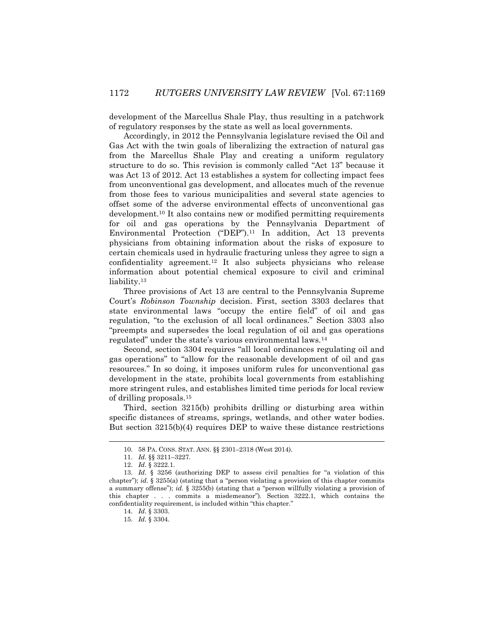development of the Marcellus Shale Play, thus resulting in a patchwork of regulatory responses by the state as well as local governments.

Accordingly, in 2012 the Pennsylvania legislature revised the Oil and Gas Act with the twin goals of liberalizing the extraction of natural gas from the Marcellus Shale Play and creating a uniform regulatory structure to do so. This revision is commonly called "Act 13" because it was Act 13 of 2012. Act 13 establishes a system for collecting impact fees from unconventional gas development, and allocates much of the revenue from those fees to various municipalities and several state agencies to offset some of the adverse environmental effects of unconventional gas development.<sup>10</sup> It also contains new or modified permitting requirements for oil and gas operations by the Pennsylvania Department of Environmental Protection ("DEP").<sup>11</sup> In addition, Act 13 prevents physicians from obtaining information about the risks of exposure to certain chemicals used in hydraulic fracturing unless they agree to sign a confidentiality agreement.<sup>12</sup> It also subjects physicians who release information about potential chemical exposure to civil and criminal liability.<sup>13</sup>

Three provisions of Act 13 are central to the Pennsylvania Supreme Court's *Robinson Township* decision. First, section 3303 declares that state environmental laws "occupy the entire field" of oil and gas regulation, "to the exclusion of all local ordinances." Section 3303 also "preempts and supersedes the local regulation of oil and gas operations regulated" under the state's various environmental laws.<sup>14</sup>

Second, section 3304 requires "all local ordinances regulating oil and gas operations" to "allow for the reasonable development of oil and gas resources." In so doing, it imposes uniform rules for unconventional gas development in the state, prohibits local governments from establishing more stringent rules, and establishes limited time periods for local review of drilling proposals.<sup>15</sup>

Third, section 3215(b) prohibits drilling or disturbing area within specific distances of streams, springs, wetlands, and other water bodies. But section 3215(b)(4) requires DEP to waive these distance restrictions

<sup>10.</sup> 58 PA. CONS. STAT. ANN. §§ 2301–2318 (West 2014).

<sup>11.</sup> *Id.* §§ 3211–3227.

<sup>12.</sup> *Id.* § 3222.1.

<sup>13.</sup> *Id.* § 3256 (authorizing DEP to assess civil penalties for "a violation of this chapter"); *id.* § 3255(a) (stating that a "person violating a provision of this chapter commits a summary offense"); *id.* § 3255(b) (stating that a "person willfully violating a provision of this chapter . . . commits a misdemeanor"). Section 3222.1, which contains the confidentiality requirement, is included within "this chapter."

<sup>14.</sup> *Id.* § 3303.

<sup>15.</sup> *Id.* § 3304.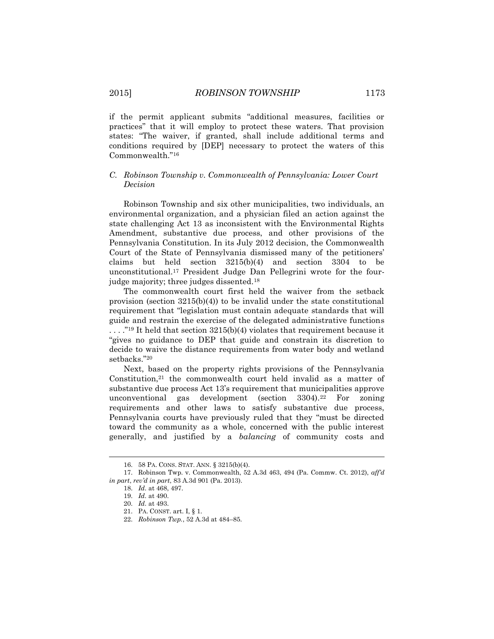if the permit applicant submits "additional measures, facilities or practices" that it will employ to protect these waters. That provision states: "The waiver, if granted, shall include additional terms and conditions required by [DEP] necessary to protect the waters of this Commonwealth."<sup>16</sup>

# *C. Robinson Township v. Commonwealth of Pennsylvania: Lower Court Decision*

Robinson Township and six other municipalities, two individuals, an environmental organization, and a physician filed an action against the state challenging Act 13 as inconsistent with the Environmental Rights Amendment, substantive due process, and other provisions of the Pennsylvania Constitution. In its July 2012 decision, the Commonwealth Court of the State of Pennsylvania dismissed many of the petitioners' claims but held section 3215(b)(4) and section 3304 to be unconstitutional.<sup>17</sup> President Judge Dan Pellegrini wrote for the fourjudge majority; three judges dissented.<sup>18</sup>

The commonwealth court first held the waiver from the setback provision (section 3215(b)(4)) to be invalid under the state constitutional requirement that "legislation must contain adequate standards that will guide and restrain the exercise of the delegated administrative functions  $\ldots$ ."<sup>19</sup> It held that section 3215(b)(4) violates that requirement because it "gives no guidance to DEP that guide and constrain its discretion to decide to waive the distance requirements from water body and wetland setbacks."<sup>20</sup>

Next, based on the property rights provisions of the Pennsylvania Constitution,<sup>21</sup> the commonwealth court held invalid as a matter of substantive due process Act 13's requirement that municipalities approve unconventional gas development (section 3304).<sup>22</sup> For zoning requirements and other laws to satisfy substantive due process, Pennsylvania courts have previously ruled that they "must be directed toward the community as a whole, concerned with the public interest generally, and justified by a *balancing* of community costs and

<sup>16.</sup> 58 PA. CONS. STAT. ANN. § 3215(b)(4).

<sup>17.</sup> Robinson Twp. v. Commonwealth, 52 A.3d 463, 494 (Pa. Commw. Ct. 2012), *aff'd in part*, *rev'd in part*, 83 A.3d 901 (Pa. 2013).

<sup>18.</sup> *Id.* at 468, 497.

<sup>19.</sup> *Id.* at 490.

<sup>20.</sup> *Id.* at 493.

<sup>21.</sup> PA. CONST. art. I, § 1.

<sup>22.</sup> *Robinson Twp.*, 52 A.3d at 484–85.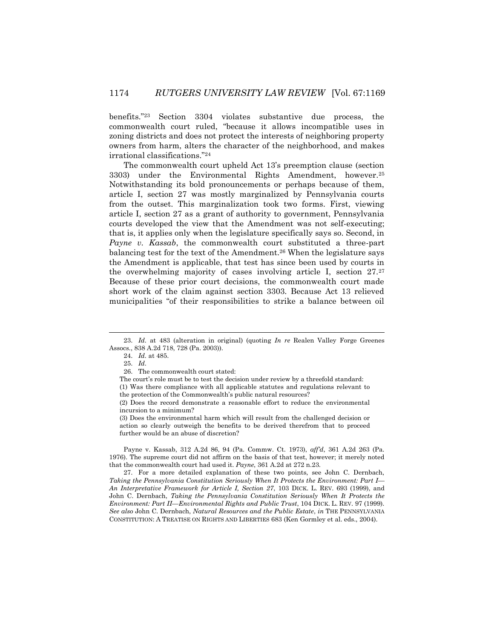benefits."<sup>23</sup> Section 3304 violates substantive due process, the commonwealth court ruled, "because it allows incompatible uses in zoning districts and does not protect the interests of neighboring property owners from harm, alters the character of the neighborhood, and makes irrational classifications."<sup>24</sup>

The commonwealth court upheld Act 13's preemption clause (section 3303) under the Environmental Rights Amendment, however.<sup>25</sup> Notwithstanding its bold pronouncements or perhaps because of them, article I, section 27 was mostly marginalized by Pennsylvania courts from the outset. This marginalization took two forms. First, viewing article I, section 27 as a grant of authority to government, Pennsylvania courts developed the view that the Amendment was not self-executing; that is, it applies only when the legislature specifically says so. Second, in *Payne v. Kassab*, the commonwealth court substituted a three-part balancing test for the text of the Amendment.<sup>26</sup> When the legislature says the Amendment is applicable, that test has since been used by courts in the overwhelming majority of cases involving article I, section 27.<sup>27</sup> Because of these prior court decisions, the commonwealth court made short work of the claim against section 3303. Because Act 13 relieved municipalities "of their responsibilities to strike a balance between oil

 $\overline{a}$ 

Payne v. Kassab, 312 A.2d 86, 94 (Pa. Commw. Ct. 1973), *aff'd*, 361 A.2d 263 (Pa. 1976). The supreme court did not affirm on the basis of that test, however; it merely noted that the commonwealth court had used it. *Payne*, 361 A.2d at 272 n.23.

27. For a more detailed explanation of these two points, see John C. Dernbach, *Taking the Pennsylvania Constitution Seriously When It Protects the Environment: Part I— An Interpretative Framework for Article I, Section 27*, 103 DICK. L. REV. 693 (1999), and John C. Dernbach, *Taking the Pennsylvania Constitution Seriously When It Protects the Environment: Part II—Environmental Rights and Public Trust*, 104 DICK. L. REV. 97 (1999). *See also* John C. Dernbach, *Natural Resources and the Public Estate*, *in* THE PENNSYLVANIA CONSTITUTION: A TREATISE ON RIGHTS AND LIBERTIES 683 (Ken Gormley et al. eds., 2004).

<sup>23.</sup> *Id.* at 483 (alteration in original) (quoting *In re* Realen Valley Forge Greenes Assocs., 838 A.2d 718, 728 (Pa. 2003)).

<sup>24.</sup> *Id.* at 485.

<sup>25.</sup> *Id.*

<sup>26.</sup> The commonwealth court stated:

The court's role must be to test the decision under review by a threefold standard:

<sup>(1)</sup> Was there compliance with all applicable statutes and regulations relevant to the protection of the Commonwealth's public natural resources?

<sup>(2)</sup> Does the record demonstrate a reasonable effort to reduce the environmental incursion to a minimum?

<sup>(3)</sup> Does the environmental harm which will result from the challenged decision or action so clearly outweigh the benefits to be derived therefrom that to proceed further would be an abuse of discretion?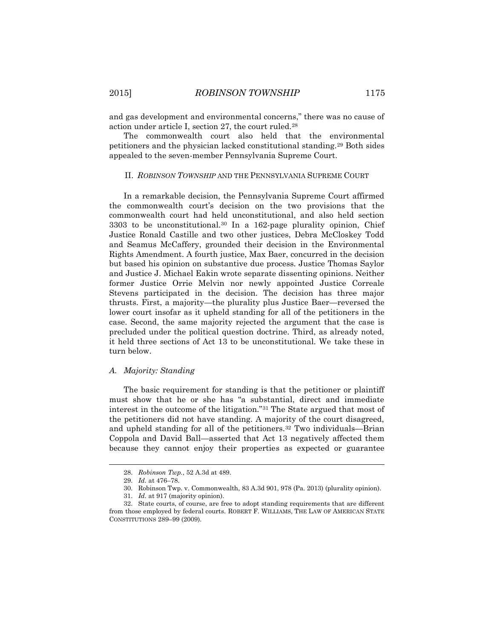and gas development and environmental concerns," there was no cause of action under article I, section 27, the court ruled.<sup>28</sup>

The commonwealth court also held that the environmental petitioners and the physician lacked constitutional standing.<sup>29</sup> Both sides appealed to the seven-member Pennsylvania Supreme Court.

## II. *ROBINSON TOWNSHIP* AND THE PENNSYLVANIA SUPREME COURT

In a remarkable decision, the Pennsylvania Supreme Court affirmed the commonwealth court's decision on the two provisions that the commonwealth court had held unconstitutional, and also held section 3303 to be unconstitutional.<sup>30</sup> In a 162-page plurality opinion, Chief Justice Ronald Castille and two other justices, Debra McCloskey Todd and Seamus McCaffery, grounded their decision in the Environmental Rights Amendment. A fourth justice, Max Baer, concurred in the decision but based his opinion on substantive due process. Justice Thomas Saylor and Justice J. Michael Eakin wrote separate dissenting opinions. Neither former Justice Orrie Melvin nor newly appointed Justice Correale Stevens participated in the decision. The decision has three major thrusts. First, a majority—the plurality plus Justice Baer—reversed the lower court insofar as it upheld standing for all of the petitioners in the case. Second, the same majority rejected the argument that the case is precluded under the political question doctrine. Third, as already noted, it held three sections of Act 13 to be unconstitutional. We take these in turn below.

## *A. Majority: Standing*

The basic requirement for standing is that the petitioner or plaintiff must show that he or she has "a substantial, direct and immediate interest in the outcome of the litigation."<sup>31</sup> The State argued that most of the petitioners did not have standing. A majority of the court disagreed, and upheld standing for all of the petitioners.<sup>32</sup> Two individuals—Brian Coppola and David Ball—asserted that Act 13 negatively affected them because they cannot enjoy their properties as expected or guarantee

l

<sup>28.</sup> *Robinson Twp.*, 52 A.3d at 489.

<sup>29.</sup> *Id.* at 476–78.

<sup>30.</sup> Robinson Twp. v. Commonwealth, 83 A.3d 901, 978 (Pa. 2013) (plurality opinion).

<sup>31.</sup> *Id.* at 917 (majority opinion).

<sup>32.</sup> State courts, of course, are free to adopt standing requirements that are different from those employed by federal courts. ROBERT F. WILLIAMS, THE LAW OF AMERICAN STATE CONSTITUTIONS 289–99 (2009).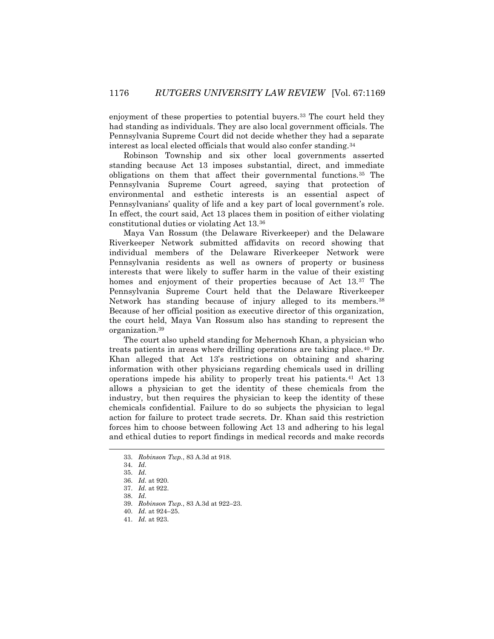enjoyment of these properties to potential buyers.<sup>33</sup> The court held they had standing as individuals. They are also local government officials. The Pennsylvania Supreme Court did not decide whether they had a separate interest as local elected officials that would also confer standing.<sup>34</sup>

Robinson Township and six other local governments asserted standing because Act 13 imposes substantial, direct, and immediate obligations on them that affect their governmental functions.<sup>35</sup> The Pennsylvania Supreme Court agreed, saying that protection of environmental and esthetic interests is an essential aspect of Pennsylvanians' quality of life and a key part of local government's role. In effect, the court said, Act 13 places them in position of either violating constitutional duties or violating Act 13.<sup>36</sup>

Maya Van Rossum (the Delaware Riverkeeper) and the Delaware Riverkeeper Network submitted affidavits on record showing that individual members of the Delaware Riverkeeper Network were Pennsylvania residents as well as owners of property or business interests that were likely to suffer harm in the value of their existing homes and enjoyment of their properties because of Act 13.<sup>37</sup> The Pennsylvania Supreme Court held that the Delaware Riverkeeper Network has standing because of injury alleged to its members.<sup>38</sup> Because of her official position as executive director of this organization, the court held, Maya Van Rossum also has standing to represent the organization.<sup>39</sup>

The court also upheld standing for Mehernosh Khan, a physician who treats patients in areas where drilling operations are taking place.<sup>40</sup> Dr. Khan alleged that Act 13's restrictions on obtaining and sharing information with other physicians regarding chemicals used in drilling operations impede his ability to properly treat his patients.<sup>41</sup> Act 13 allows a physician to get the identity of these chemicals from the industry, but then requires the physician to keep the identity of these chemicals confidential. Failure to do so subjects the physician to legal action for failure to protect trade secrets. Dr. Khan said this restriction forces him to choose between following Act 13 and adhering to his legal and ethical duties to report findings in medical records and make records

<sup>33.</sup> *Robinson Twp.*, 83 A.3d at 918.

<sup>34.</sup> *Id.*

<sup>35.</sup> *Id.*

<sup>36.</sup> *Id.* at 920.

<sup>37.</sup> *Id.* at 922.

<sup>38.</sup> *Id.*

<sup>39.</sup> *Robinson Twp.*, 83 A.3d at 922–23.

<sup>40.</sup> *Id.* at 924–25.

<sup>41.</sup> *Id.* at 923.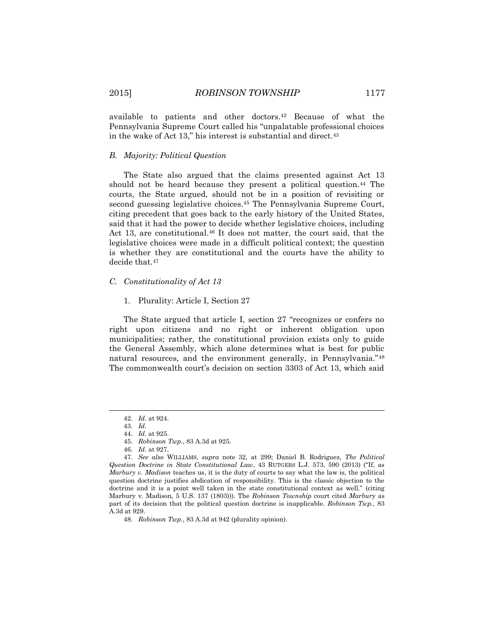available to patients and other doctors.<sup>42</sup> Because of what the Pennsylvania Supreme Court called his "unpalatable professional choices in the wake of Act 13," his interest is substantial and direct.<sup>43</sup>

## *B. Majority: Political Question*

The State also argued that the claims presented against Act 13 should not be heard because they present a political question.<sup>44</sup> The courts, the State argued, should not be in a position of revisiting or second guessing legislative choices.<sup>45</sup> The Pennsylvania Supreme Court, citing precedent that goes back to the early history of the United States, said that it had the power to decide whether legislative choices, including Act 13, are constitutional.<sup>46</sup> It does not matter, the court said, that the legislative choices were made in a difficult political context; the question is whether they are constitutional and the courts have the ability to decide that.<sup>47</sup>

## *C. Constitutionality of Act 13*

# 1. Plurality: Article I, Section 27

The State argued that article I, section 27 "recognizes or confers no right upon citizens and no right or inherent obligation upon municipalities; rather, the constitutional provision exists only to guide the General Assembly, which alone determines what is best for public natural resources, and the environment generally, in Pennsylvania."<sup>48</sup> The commonwealth court's decision on section 3303 of Act 13, which said

<sup>42.</sup> *Id.* at 924.

<sup>43.</sup> *Id.*

<sup>44.</sup> *Id.* at 925.

<sup>45.</sup> *Robinson Twp.*, 83 A.3d at 925.

<sup>46.</sup> *Id.* at 927.

<sup>47.</sup> *See also* WILLIAMS, *supra* note 32, at 299; Daniel B. Rodriguez, *The Political Question Doctrine in State Constitutional Law*, 43 RUTGERS L.J. 573, 590 (2013) ("If, as *Marbury v. Madison* teaches us, it is the duty of courts to say what the law is, the political question doctrine justifies abdication of responsibility. This is the classic objection to the doctrine and it is a point well taken in the state constitutional context as well." (citing Marbury v. Madison, 5 U.S. 137 (1803))). The *Robinson Township* court cited *Marbur*y as part of its decision that the political question doctrine is inapplicable. *Robinson Twp.*, 83 A.3d at 929.

<sup>48.</sup> *Robinson Twp.*, 83 A.3d at 942 (plurality opinion).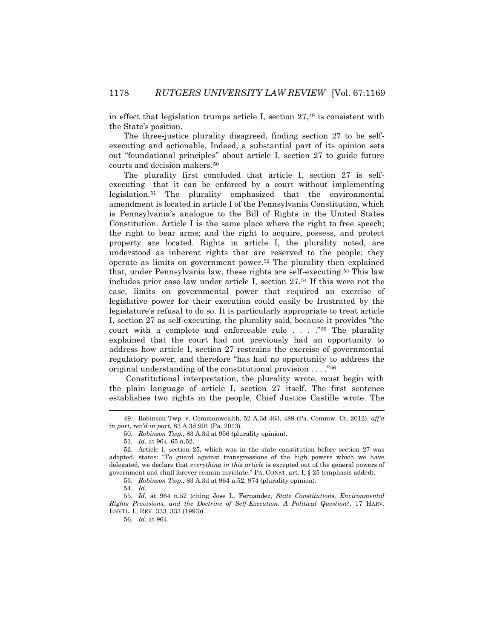in effect that legislation trumps article I, section  $27<sup>49</sup>$  is consistent with the State's position.

The three-justice plurality disagreed, finding section 27 to be selfexecuting and actionable. Indeed, a substantial part of its opinion sets out "foundational principles" about article I, section 27 to guide future courts and decision makers.<sup>50</sup>

The plurality first concluded that article I, section 27 is selfexecuting—that it can be enforced by a court without implementing legislation.<sup>51</sup> The plurality emphasized that the environmental amendment is located in article I of the Pennsylvania Constitution, which is Pennsylvania's analogue to the Bill of Rights in the United States Constitution. Article I is the same place where the right to free speech; the right to bear arms; and the right to acquire, possess, and protect property are located. Rights in article I, the plurality noted, are understood as inherent rights that are reserved to the people; they operate as limits on government power.<sup>52</sup> The plurality then explained that, under Pennsylvania law, these rights are self-executing.<sup>53</sup> This law includes prior case law under article I, section 27.<sup>54</sup> If this were not the case, limits on governmental power that required an exercise of legislative power for their execution could easily be frustrated by the legislature's refusal to do so. It is particularly appropriate to treat article I, section 27 as self-executing, the plurality said, because it provides "the court with a complete and enforceable rule . . . ."<sup>55</sup> The plurality explained that the court had not previously had an opportunity to address how article I, section 27 restrains the exercise of governmental regulatory power, and therefore "has had no opportunity to address the original understanding of the constitutional provision . . . ."<sup>56</sup>

Constitutional interpretation, the plurality wrote, must begin with the plain language of article I, section 27 itself. The first sentence establishes two rights in the people, Chief Justice Castille wrote. The

53. *Robinson Twp.*, 83 A.3d at 964 n.52, 974 (plurality opinion).

 $\overline{a}$ 

56. *Id.* at 964.

<sup>49.</sup> Robinson Twp. v. Commonwealth, 52 A.3d 463, 489 (Pa. Commw. Ct. 2012), *aff'd in part*, *rev'd in part*, 83 A.3d 901 (Pa. 2013).

<sup>50.</sup> *Robinson Twp.*, 83 A.3d at 956 (plurality opinion).

<sup>51.</sup> *Id.* at 964–65 n.52.

<sup>52.</sup> Article I, section 25, which was in the state constitution before section 27 was adopted, states: "To guard against transgressions of the high powers which we have delegated, we declare that *everything in this article* is excepted out of the general powers of government and shall forever remain inviolate." PA. CONST. art. I, § 25 (emphasis added).

<sup>54.</sup> *Id.*

<sup>55.</sup> *Id.* at 964 n.52 (citing Jose L. Fernandez, *State Constitutions, Environmental Rights Provisions, and the Doctrine of Self-Execution: A Political Question?*, 17 HARV. ENVTL. L. REV. 333, 333 (1993)).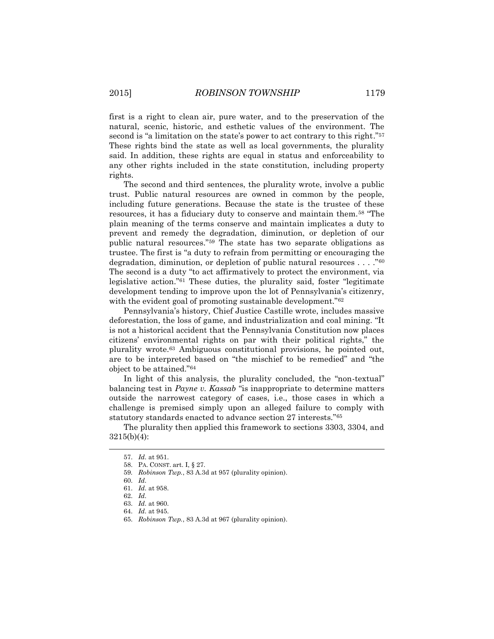first is a right to clean air, pure water, and to the preservation of the natural, scenic, historic, and esthetic values of the environment. The second is "a limitation on the state's power to act contrary to this right."<sup>57</sup> These rights bind the state as well as local governments, the plurality said. In addition, these rights are equal in status and enforceability to any other rights included in the state constitution, including property rights.

The second and third sentences, the plurality wrote, involve a public trust. Public natural resources are owned in common by the people, including future generations. Because the state is the trustee of these resources, it has a fiduciary duty to conserve and maintain them.<sup>58</sup> "The plain meaning of the terms conserve and maintain implicates a duty to prevent and remedy the degradation, diminution, or depletion of our public natural resources."<sup>59</sup> The state has two separate obligations as trustee. The first is "a duty to refrain from permitting or encouraging the degradation, diminution, or depletion of public natural resources . . . ."<sup>60</sup> The second is a duty "to act affirmatively to protect the environment, via legislative action."<sup>61</sup> These duties, the plurality said, foster "legitimate development tending to improve upon the lot of Pennsylvania's citizenry, with the evident goal of promoting sustainable development."<sup>62</sup>

Pennsylvania's history, Chief Justice Castille wrote, includes massive deforestation, the loss of game, and industrialization and coal mining. "It is not a historical accident that the Pennsylvania Constitution now places citizens' environmental rights on par with their political rights," the plurality wrote.<sup>63</sup> Ambiguous constitutional provisions, he pointed out, are to be interpreted based on "the mischief to be remedied" and "the object to be attained."<sup>64</sup>

In light of this analysis, the plurality concluded, the "non-textual" balancing test in *Payne v. Kassab* "is inappropriate to determine matters outside the narrowest category of cases, i.e., those cases in which a challenge is premised simply upon an alleged failure to comply with statutory standards enacted to advance section 27 interests."<sup>65</sup>

The plurality then applied this framework to sections 3303, 3304, and 3215(b)(4):

<sup>57.</sup> *Id.* at 951.

<sup>58.</sup> PA. CONST. art. I, § 27.

<sup>59</sup>*. Robinson Twp.*, 83 A.3d at 957 (plurality opinion).

<sup>60.</sup> *Id.*

<sup>61.</sup> *Id.* at 958.

<sup>62.</sup> *Id.*

<sup>63.</sup> *Id.* at 960.

<sup>64.</sup> *Id.* at 945.

<sup>65.</sup> *Robinson Twp.*, 83 A.3d at 967 (plurality opinion).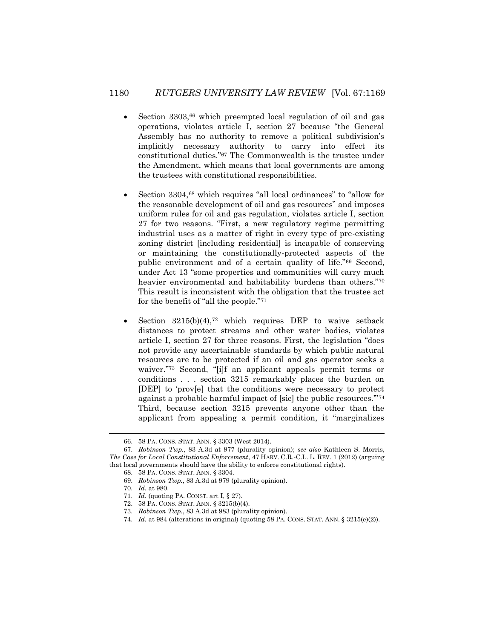# 1180 *RUTGERS UNIVERSITY LAW REVIEW* [Vol. 67:1169

- Section 3303,<sup>66</sup> which preempted local regulation of oil and gas operations, violates article I, section 27 because "the General Assembly has no authority to remove a political subdivision's implicitly necessary authority to carry into effect its constitutional duties."<sup>67</sup> The Commonwealth is the trustee under the Amendment, which means that local governments are among the trustees with constitutional responsibilities.
- Section 3304,<sup>68</sup> which requires "all local ordinances" to "allow for the reasonable development of oil and gas resources" and imposes uniform rules for oil and gas regulation, violates article I, section 27 for two reasons. "First, a new regulatory regime permitting industrial uses as a matter of right in every type of pre-existing zoning district [including residential] is incapable of conserving or maintaining the constitutionally-protected aspects of the public environment and of a certain quality of life."<sup>69</sup> Second, under Act 13 "some properties and communities will carry much heavier environmental and habitability burdens than others."70 This result is inconsistent with the obligation that the trustee act for the benefit of "all the people."<sup>71</sup>
- Section  $3215(b)(4)$ ,<sup>72</sup> which requires DEP to waive setback distances to protect streams and other water bodies, violates article I, section 27 for three reasons. First, the legislation "does not provide any ascertainable standards by which public natural resources are to be protected if an oil and gas operator seeks a waiver."<sup>73</sup> Second, "[i]f an applicant appeals permit terms or conditions . . . section 3215 remarkably places the burden on [DEP] to 'prov[e] that the conditions were necessary to protect against a probable harmful impact of [sic] the public resources.'"<sup>74</sup> Third, because section 3215 prevents anyone other than the applicant from appealing a permit condition, it "marginalizes

<sup>66.</sup> 58 PA. CONS. STAT. ANN. § 3303 (West 2014).

<sup>67.</sup> *Robinson Twp.*, 83 A.3d at 977 (plurality opinion); *see also* Kathleen S. Morris, *The Case for Local Constitutional Enforcement*, 47 HARV. C.R.-C.L. L. REV. 1 (2012) (arguing that local governments should have the ability to enforce constitutional rights).

<sup>68.</sup> 58 PA. CONS. STAT. ANN. § 3304.

<sup>69.</sup> *Robinson Twp.*, 83 A.3d at 979 (plurality opinion).

<sup>70.</sup> *Id.* at 980.

<sup>71.</sup> *Id.* (quoting PA. CONST. art I, § 27).

<sup>72.</sup> 58 PA. CONS. STAT. ANN. § 3215(b)(4).

<sup>73.</sup> *Robinson Twp.*, 83 A.3d at 983 (plurality opinion).

<sup>74.</sup> *Id.* at 984 (alterations in original) (quoting 58 PA. CONS. STAT. ANN. § 3215(e)(2)).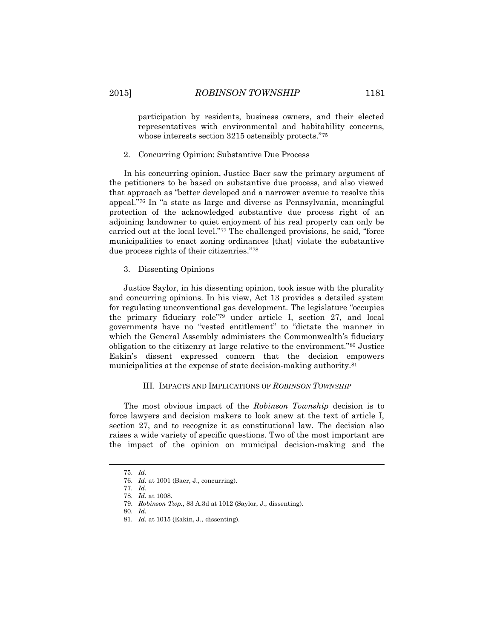participation by residents, business owners, and their elected representatives with environmental and habitability concerns, whose interests section 3215 ostensibly protects."<sup>75</sup>

2. Concurring Opinion: Substantive Due Process

In his concurring opinion, Justice Baer saw the primary argument of the petitioners to be based on substantive due process, and also viewed that approach as "better developed and a narrower avenue to resolve this appeal."<sup>76</sup> In "a state as large and diverse as Pennsylvania, meaningful protection of the acknowledged substantive due process right of an adjoining landowner to quiet enjoyment of his real property can only be carried out at the local level."<sup>77</sup> The challenged provisions, he said, "force municipalities to enact zoning ordinances [that] violate the substantive due process rights of their citizenries."<sup>78</sup>

3. Dissenting Opinions

Justice Saylor, in his dissenting opinion, took issue with the plurality and concurring opinions. In his view, Act 13 provides a detailed system for regulating unconventional gas development. The legislature "occupies the primary fiduciary role"<sup>79</sup> under article I, section 27, and local governments have no "vested entitlement" to "dictate the manner in which the General Assembly administers the Commonwealth's fiduciary obligation to the citizenry at large relative to the environment."<sup>80</sup> Justice Eakin's dissent expressed concern that the decision empowers municipalities at the expense of state decision-making authority.<sup>81</sup>

## III. IMPACTS AND IMPLICATIONS OF *ROBINSON TOWNSHIP*

The most obvious impact of the *Robinson Township* decision is to force lawyers and decision makers to look anew at the text of article I, section 27, and to recognize it as constitutional law. The decision also raises a wide variety of specific questions. Two of the most important are the impact of the opinion on municipal decision-making and the

l

<sup>75.</sup> *Id.*

<sup>76.</sup> *Id.* at 1001 (Baer, J., concurring).

<sup>77.</sup> *Id*.

<sup>78.</sup> *Id.* at 1008.

<sup>79.</sup> *Robinson Twp.*, 83 A.3d at 1012 (Saylor, J., dissenting).

<sup>80.</sup> *Id.*

<sup>81.</sup> *Id.* at 1015 (Eakin, J., dissenting).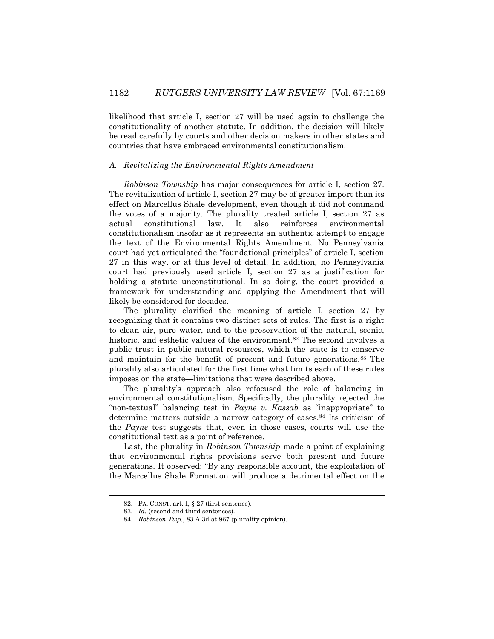likelihood that article I, section 27 will be used again to challenge the constitutionality of another statute. In addition, the decision will likely be read carefully by courts and other decision makers in other states and countries that have embraced environmental constitutionalism.

### *A. Revitalizing the Environmental Rights Amendment*

*Robinson Township* has major consequences for article I, section 27. The revitalization of article I, section 27 may be of greater import than its effect on Marcellus Shale development, even though it did not command the votes of a majority. The plurality treated article I, section 27 as actual constitutional law. It also reinforces environmental constitutionalism insofar as it represents an authentic attempt to engage the text of the Environmental Rights Amendment. No Pennsylvania court had yet articulated the "foundational principles" of article I, section 27 in this way, or at this level of detail. In addition, no Pennsylvania court had previously used article I, section 27 as a justification for holding a statute unconstitutional. In so doing, the court provided a framework for understanding and applying the Amendment that will likely be considered for decades.

The plurality clarified the meaning of article I, section 27 by recognizing that it contains two distinct sets of rules. The first is a right to clean air, pure water, and to the preservation of the natural, scenic, historic, and esthetic values of the environment.<sup>82</sup> The second involves a public trust in public natural resources, which the state is to conserve and maintain for the benefit of present and future generations.<sup>83</sup> The plurality also articulated for the first time what limits each of these rules imposes on the state—limitations that were described above.

The plurality's approach also refocused the role of balancing in environmental constitutionalism. Specifically, the plurality rejected the "non-textual" balancing test in *Payne v. Kassab* as "inappropriate" to determine matters outside a narrow category of cases.<sup>84</sup> Its criticism of the *Payne* test suggests that, even in those cases, courts will use the constitutional text as a point of reference.

Last, the plurality in *Robinson Township* made a point of explaining that environmental rights provisions serve both present and future generations. It observed: "By any responsible account, the exploitation of the Marcellus Shale Formation will produce a detrimental effect on the

<sup>82.</sup> PA. CONST. art. I, § 27 (first sentence).

<sup>83.</sup> *Id.* (second and third sentences).

<sup>84.</sup> *Robinson Twp.*, 83 A.3d at 967 (plurality opinion).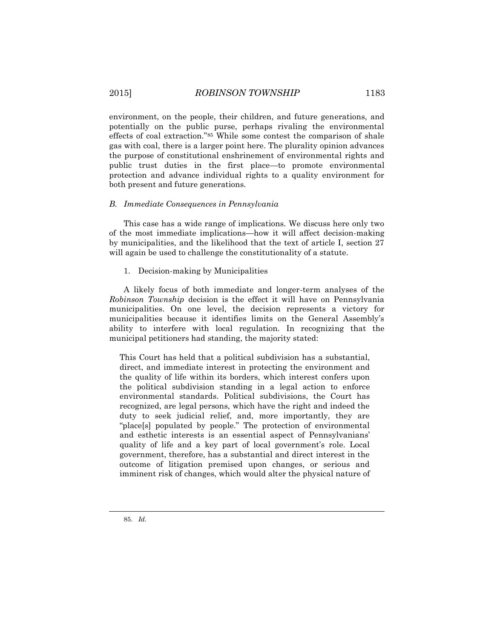environment, on the people, their children, and future generations, and potentially on the public purse, perhaps rivaling the environmental effects of coal extraction."<sup>85</sup> While some contest the comparison of shale gas with coal, there is a larger point here. The plurality opinion advances the purpose of constitutional enshrinement of environmental rights and public trust duties in the first place—to promote environmental protection and advance individual rights to a quality environment for both present and future generations.

## *B. Immediate Consequences in Pennsylvania*

This case has a wide range of implications. We discuss here only two of the most immediate implications—how it will affect decision-making by municipalities, and the likelihood that the text of article I, section 27 will again be used to challenge the constitutionality of a statute.

# 1. Decision-making by Municipalities

A likely focus of both immediate and longer-term analyses of the *Robinson Township* decision is the effect it will have on Pennsylvania municipalities. On one level, the decision represents a victory for municipalities because it identifies limits on the General Assembly's ability to interfere with local regulation. In recognizing that the municipal petitioners had standing, the majority stated:

This Court has held that a political subdivision has a substantial, direct, and immediate interest in protecting the environment and the quality of life within its borders, which interest confers upon the political subdivision standing in a legal action to enforce environmental standards. Political subdivisions, the Court has recognized, are legal persons, which have the right and indeed the duty to seek judicial relief, and, more importantly, they are "place[s] populated by people." The protection of environmental and esthetic interests is an essential aspect of Pennsylvanians' quality of life and a key part of local government's role. Local government, therefore, has a substantial and direct interest in the outcome of litigation premised upon changes, or serious and imminent risk of changes, which would alter the physical nature of

l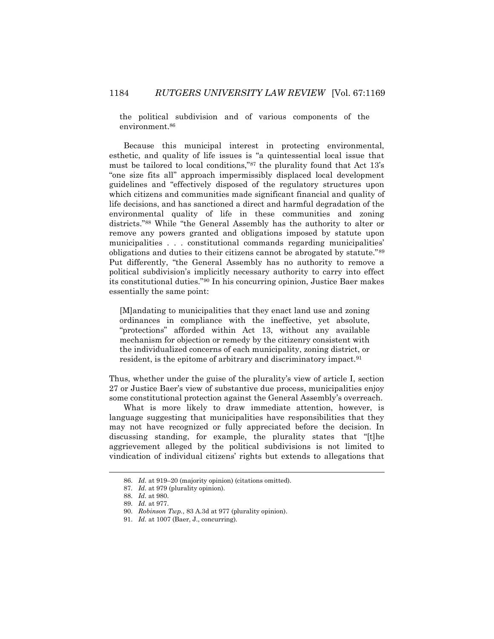the political subdivision and of various components of the environment.<sup>86</sup>

Because this municipal interest in protecting environmental, esthetic, and quality of life issues is "a quintessential local issue that must be tailored to local conditions,"<sup>87</sup> the plurality found that Act 13's "one size fits all" approach impermissibly displaced local development guidelines and "effectively disposed of the regulatory structures upon which citizens and communities made significant financial and quality of life decisions, and has sanctioned a direct and harmful degradation of the environmental quality of life in these communities and zoning districts."<sup>88</sup> While "the General Assembly has the authority to alter or remove any powers granted and obligations imposed by statute upon municipalities . . . constitutional commands regarding municipalities' obligations and duties to their citizens cannot be abrogated by statute."<sup>89</sup> Put differently, "the General Assembly has no authority to remove a political subdivision's implicitly necessary authority to carry into effect its constitutional duties."<sup>90</sup> In his concurring opinion, Justice Baer makes essentially the same point:

[M]andating to municipalities that they enact land use and zoning ordinances in compliance with the ineffective, yet absolute, "protections" afforded within Act 13, without any available mechanism for objection or remedy by the citizenry consistent with the individualized concerns of each municipality, zoning district, or resident, is the epitome of arbitrary and discriminatory impact.<sup>91</sup>

Thus, whether under the guise of the plurality's view of article I, section 27 or Justice Baer's view of substantive due process, municipalities enjoy some constitutional protection against the General Assembly's overreach.

What is more likely to draw immediate attention, however, is language suggesting that municipalities have responsibilities that they may not have recognized or fully appreciated before the decision. In discussing standing, for example, the plurality states that "[t]he aggrievement alleged by the political subdivisions is not limited to vindication of individual citizens' rights but extends to allegations that

<sup>86.</sup> *Id.* at 919–20 (majority opinion) (citations omitted).

<sup>87</sup>*. Id.* at 979 (plurality opinion).

<sup>88.</sup> *Id.* at 980.

<sup>89.</sup> *Id.* at 977.

<sup>90.</sup> *Robinson Twp.*, 83 A.3d at 977 (plurality opinion).

<sup>91.</sup> *Id.* at 1007 (Baer, J., concurring).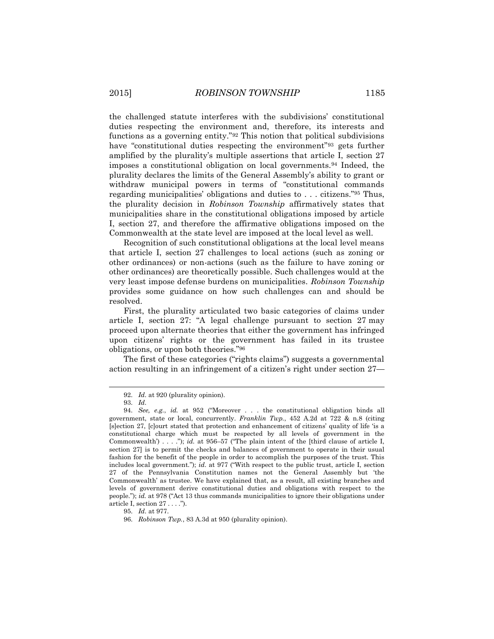the challenged statute interferes with the subdivisions' constitutional duties respecting the environment and, therefore, its interests and functions as a governing entity."<sup>92</sup> This notion that political subdivisions have "constitutional duties respecting the environment"<sup>93</sup> gets further amplified by the plurality's multiple assertions that article I, section 27 imposes a constitutional obligation on local governments.<sup>94</sup> Indeed, the plurality declares the limits of the General Assembly's ability to grant or withdraw municipal powers in terms of "constitutional commands regarding municipalities' obligations and duties to . . . citizens."<sup>95</sup> Thus, the plurality decision in *Robinson Township* affirmatively states that municipalities share in the constitutional obligations imposed by article I, section 27, and therefore the affirmative obligations imposed on the Commonwealth at the state level are imposed at the local level as well.

Recognition of such constitutional obligations at the local level means that article I, section 27 challenges to local actions (such as zoning or other ordinances) or non-actions (such as the failure to have zoning or other ordinances) are theoretically possible. Such challenges would at the very least impose defense burdens on municipalities. *Robinson Township* provides some guidance on how such challenges can and should be resolved.

First, the plurality articulated two basic categories of claims under article I, section 27: "A legal challenge pursuant to section 27 may proceed upon alternate theories that either the government has infringed upon citizens' rights or the government has failed in its trustee obligations, or upon both theories." 96

The first of these categories ("rights claims") suggests a governmental action resulting in an infringement of a citizen's right under section 27—

<sup>92.</sup> *Id.* at 920 (plurality opinion).

<sup>93.</sup> *Id.*

<sup>94.</sup> *See, e.g.*, *id.* at 952 ("Moreover . . . the constitutional obligation binds all government, state or local, concurrently. *Franklin Twp.*, 452 A.2d at 722 & n.8 (citing [s]ection 27, [c]ourt stated that protection and enhancement of citizens' quality of life 'is a constitutional charge which must be respected by all levels of government in the Commonwealth') . . . ."); *id.* at 956–57 ("The plain intent of the [third clause of article I, section 27] is to permit the checks and balances of government to operate in their usual fashion for the benefit of the people in order to accomplish the purposes of the trust. This includes local government."); *id.* at 977 ("With respect to the public trust, article I, section 27 of the Pennsylvania Constitution names not the General Assembly but 'the Commonwealth' as trustee. We have explained that, as a result, all existing branches and levels of government derive constitutional duties and obligations with respect to the people."); *id.* at 978 ("Act 13 thus commands municipalities to ignore their obligations under article I, section 27 . . . .").

<sup>95.</sup> *Id.* at 977.

<sup>96.</sup> *Robinson Twp.*, 83 A.3d at 950 (plurality opinion).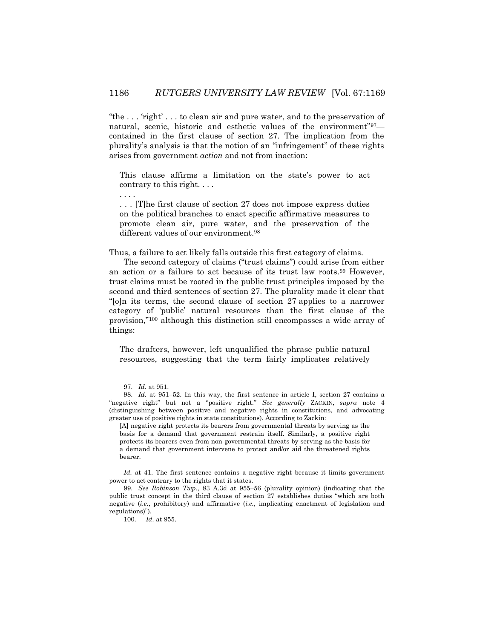"the . . . 'right' . . . to clean air and pure water, and to the preservation of natural, scenic, historic and esthetic values of the environment"97 contained in the first clause of section 27. The implication from the plurality's analysis is that the notion of an "infringement" of these rights arises from government *action* and not from inaction:

This clause affirms a limitation on the state's power to act contrary to this right. . . .

. . . [T]he first clause of section 27 does not impose express duties on the political branches to enact specific affirmative measures to promote clean air, pure water, and the preservation of the different values of our environment.<sup>98</sup>

Thus, a failure to act likely falls outside this first category of claims.

The second category of claims ("trust claims") could arise from either an action or a failure to act because of its trust law roots.<sup>99</sup> However, trust claims must be rooted in the public trust principles imposed by the second and third sentences of section 27. The plurality made it clear that "[o]n its terms, the second clause of section 27 applies to a narrower category of 'public' natural resources than the first clause of the provision,"<sup>100</sup> although this distinction still encompasses a wide array of things:

The drafters, however, left unqualified the phrase public natural resources, suggesting that the term fairly implicates relatively

 $\overline{a}$ 

. . . .

<sup>97.</sup> *Id.* at 951.

<sup>98.</sup> *Id.* at 951–52. In this way, the first sentence in article I, section 27 contains a "negative right" but not a "positive right." *See generally* ZACKIN, *supra* note 4 (distinguishing between positive and negative rights in constitutions, and advocating greater use of positive rights in state constitutions). According to Zackin:

<sup>[</sup>A] negative right protects its bearers from governmental threats by serving as the basis for a demand that government restrain itself. Similarly, a positive right protects its bearers even from non-governmental threats by serving as the basis for a demand that government intervene to protect and/or aid the threatened rights bearer.

Id. at 41. The first sentence contains a negative right because it limits government power to act contrary to the rights that it states.

<sup>99.</sup> *See Robinson Twp.*, 83 A.3d at 955–56 (plurality opinion) (indicating that the public trust concept in the third clause of section 27 establishes duties "which are both negative (*i.e.*, prohibitory) and affirmative (*i.e.*, implicating enactment of legislation and regulations)").

<sup>100.</sup> *Id.* at 955.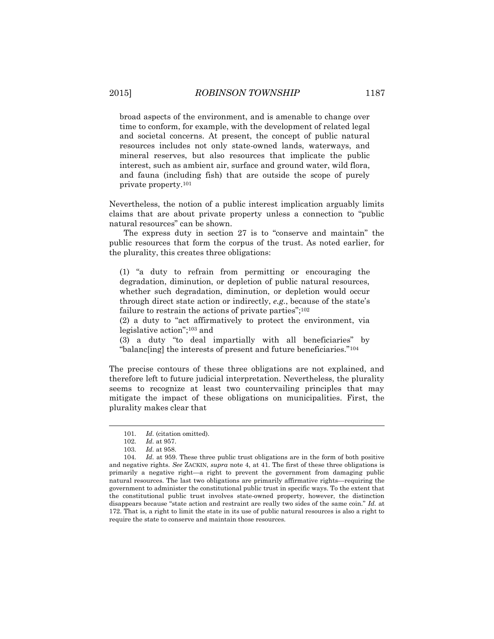broad aspects of the environment, and is amenable to change over time to conform, for example, with the development of related legal and societal concerns. At present, the concept of public natural resources includes not only state-owned lands, waterways, and mineral reserves, but also resources that implicate the public interest, such as ambient air, surface and ground water, wild flora, and fauna (including fish) that are outside the scope of purely private property.<sup>101</sup>

Nevertheless, the notion of a public interest implication arguably limits claims that are about private property unless a connection to "public natural resources" can be shown.

The express duty in section 27 is to "conserve and maintain" the public resources that form the corpus of the trust. As noted earlier, for the plurality, this creates three obligations:

(1) "a duty to refrain from permitting or encouraging the degradation, diminution, or depletion of public natural resources, whether such degradation, diminution, or depletion would occur through direct state action or indirectly, *e.g.*, because of the state's failure to restrain the actions of private parties";<sup>102</sup>

(2) a duty to "act affirmatively to protect the environment, via legislative action"; <sup>103</sup> and

(3) a duty "to deal impartially with all beneficiaries" by "balanc[ing] the interests of present and future beneficiaries."<sup>104</sup>

The precise contours of these three obligations are not explained, and therefore left to future judicial interpretation. Nevertheless, the plurality seems to recognize at least two countervailing principles that may mitigate the impact of these obligations on municipalities. First, the plurality makes clear that

<sup>101.</sup> *Id.* (citation omitted).

<sup>102.</sup> *Id.* at 957.

<sup>103.</sup> *Id.* at 958.

<sup>104.</sup> *Id.* at 959. These three public trust obligations are in the form of both positive and negative rights. *See* ZACKIN, *supra* note 4, at 41. The first of these three obligations is primarily a negative right—a right to prevent the government from damaging public natural resources. The last two obligations are primarily affirmative rights—requiring the government to administer the constitutional public trust in specific ways. To the extent that the constitutional public trust involves state-owned property, however, the distinction disappears because "state action and restraint are really two sides of the same coin." *Id.* at 172. That is, a right to limit the state in its use of public natural resources is also a right to require the state to conserve and maintain those resources.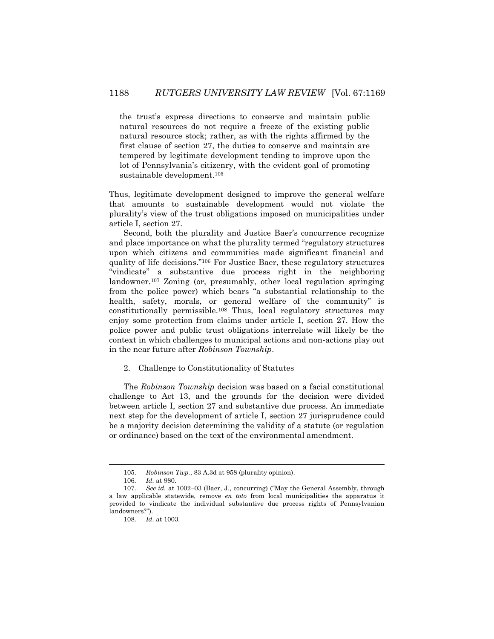the trust's express directions to conserve and maintain public natural resources do not require a freeze of the existing public natural resource stock; rather, as with the rights affirmed by the first clause of section 27, the duties to conserve and maintain are tempered by legitimate development tending to improve upon the lot of Pennsylvania's citizenry, with the evident goal of promoting sustainable development.<sup>105</sup>

Thus, legitimate development designed to improve the general welfare that amounts to sustainable development would not violate the plurality's view of the trust obligations imposed on municipalities under article I, section 27.

Second, both the plurality and Justice Baer's concurrence recognize and place importance on what the plurality termed "regulatory structures upon which citizens and communities made significant financial and quality of life decisions."<sup>106</sup> For Justice Baer, these regulatory structures "vindicate" a substantive due process right in the neighboring landowner.<sup>107</sup> Zoning (or, presumably, other local regulation springing from the police power) which bears "a substantial relationship to the health, safety, morals, or general welfare of the community" is constitutionally permissible.<sup>108</sup> Thus, local regulatory structures may enjoy some protection from claims under article I, section 27. How the police power and public trust obligations interrelate will likely be the context in which challenges to municipal actions and non-actions play out in the near future after *Robinson Township*.

### 2. Challenge to Constitutionality of Statutes

The *Robinson Township* decision was based on a facial constitutional challenge to Act 13, and the grounds for the decision were divided between article I, section 27 and substantive due process. An immediate next step for the development of article I, section 27 jurisprudence could be a majority decision determining the validity of a statute (or regulation or ordinance) based on the text of the environmental amendment.

l

<sup>105.</sup> *Robinson Twp.*, 83 A.3d at 958 (plurality opinion).

<sup>106.</sup> *Id.* at 980.

<sup>107.</sup> *See id.* at 1002–03 (Baer, J., concurring) ("May the General Assembly, through a law applicable statewide, remove *en toto* from local municipalities the apparatus it provided to vindicate the individual substantive due process rights of Pennsylvanian landowners?").

<sup>108.</sup> *Id.* at 1003.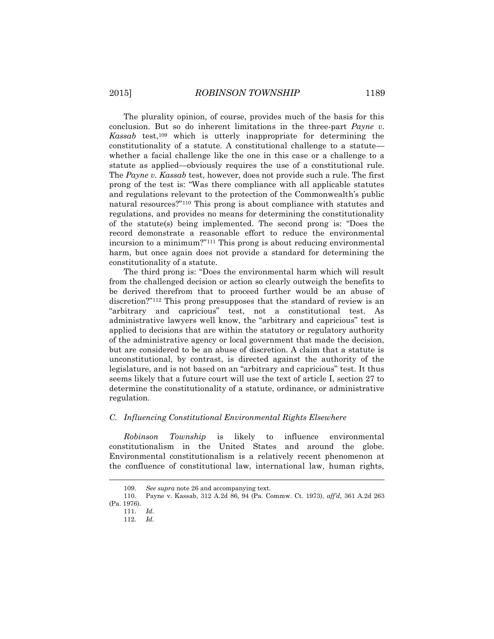The plurality opinion, of course, provides much of the basis for this conclusion. But so do inherent limitations in the three-part *Payne v. Kassab* test,<sup>109</sup> which is utterly inappropriate for determining the constitutionality of a statute. A constitutional challenge to a statute whether a facial challenge like the one in this case or a challenge to a statute as applied—obviously requires the use of a constitutional rule. The *Payne v. Kassab* test, however, does not provide such a rule. The first prong of the test is: "Was there compliance with all applicable statutes and regulations relevant to the protection of the Commonwealth's public natural resources?"<sup>110</sup> This prong is about compliance with statutes and regulations, and provides no means for determining the constitutionality of the statute(s) being implemented. The second prong is: "Does the record demonstrate a reasonable effort to reduce the environmental incursion to a minimum?"<sup>111</sup> This prong is about reducing environmental harm, but once again does not provide a standard for determining the constitutionality of a statute.

The third prong is: "Does the environmental harm which will result from the challenged decision or action so clearly outweigh the benefits to be derived therefrom that to proceed further would be an abuse of discretion?"<sup>112</sup> This prong presupposes that the standard of review is an "arbitrary and capricious" test, not a constitutional test. As administrative lawyers well know, the "arbitrary and capricious" test is applied to decisions that are within the statutory or regulatory authority of the administrative agency or local government that made the decision, but are considered to be an abuse of discretion. A claim that a statute is unconstitutional, by contrast, is directed against the authority of the legislature, and is not based on an "arbitrary and capricious" test. It thus seems likely that a future court will use the text of article I, section 27 to determine the constitutionality of a statute, ordinance, or administrative regulation.

## *C. Influencing Constitutional Environmental Rights Elsewhere*

*Robinson Township* is likely to influence environmental constitutionalism in the United States and around the globe. Environmental constitutionalism is a relatively recent phenomenon at the confluence of constitutional law, international law, human rights,

<sup>109.</sup> *See supra* note 26 and accompanying text.

<sup>110.</sup> Payne v. Kassab, 312 A.2d 86, 94 (Pa. Commw. Ct. 1973), *aff'd*, 361 A.2d 263 (Pa. 1976).

<sup>111.</sup> *Id.* 112. *Id.*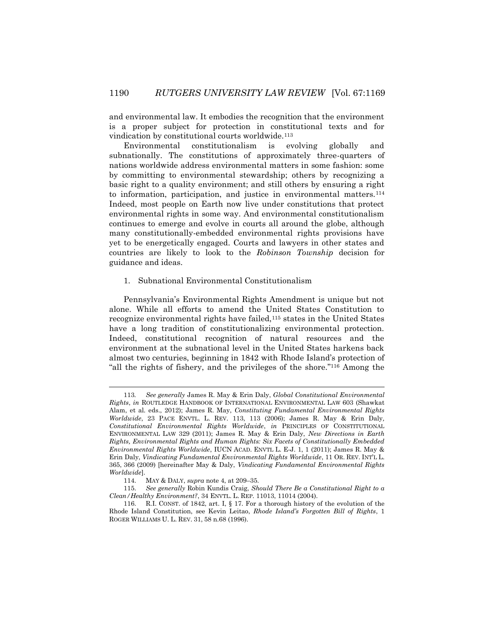and environmental law. It embodies the recognition that the environment is a proper subject for protection in constitutional texts and for vindication by constitutional courts worldwide.<sup>113</sup>

Environmental constitutionalism is evolving globally and subnationally. The constitutions of approximately three-quarters of nations worldwide address environmental matters in some fashion: some by committing to environmental stewardship; others by recognizing a basic right to a quality environment; and still others by ensuring a right to information, participation, and justice in environmental matters.<sup>114</sup> Indeed, most people on Earth now live under constitutions that protect environmental rights in some way. And environmental constitutionalism continues to emerge and evolve in courts all around the globe, although many constitutionally-embedded environmental rights provisions have yet to be energetically engaged. Courts and lawyers in other states and countries are likely to look to the *Robinson Township* decision for guidance and ideas.

### 1. Subnational Environmental Constitutionalism

Pennsylvania's Environmental Rights Amendment is unique but not alone. While all efforts to amend the United States Constitution to recognize environmental rights have failed,<sup>115</sup> states in the United States have a long tradition of constitutionalizing environmental protection. Indeed, constitutional recognition of natural resources and the environment at the subnational level in the United States harkens back almost two centuries, beginning in 1842 with Rhode Island's protection of "all the rights of fishery, and the privileges of the shore." <sup>116</sup> Among the

<sup>113</sup>*. See generally* James R. May & Erin Daly, *Global Constitutional Environmental Rights*, *in* ROUTLEDGE HANDBOOK OF INTERNATIONAL ENVIRONMENTAL LAW 603 (Shawkat Alam, et al. eds., 2012); James R. May, *Constituting Fundamental Environmental Rights Worldwide*, 23 PACE ENVTL. L. REV. 113, 113 (2006); James R. May & Erin Daly*, Constitutional Environmental Rights Worldwide*, *in* PRINCIPLES OF CONSTITUTIONAL ENVIRONMENTAL LAW 329 (2011); James R. May & Erin Daly, *New Directions in Earth Rights, Environmental Rights and Human Rights: Six Facets of Constitutionally Embedded Environmental Rights Worldwide*, IUCN ACAD. ENVTL L. E-J. 1, 1 (2011); James R. May & Erin Daly, *Vindicating Fundamental Environmental Rights Worldwide*, 11 OR. REV. INT'L L. 365, 366 (2009) [hereinafter May & Daly, *Vindicating Fundamental Environmental Rights Worldwide*].

<sup>114.</sup> MAY & DALY, *supra* note 4, at 209–35.

<sup>115.</sup> *See generally* Robin Kundis Craig, *Should There Be a Constitutional Right to a Clean/Healthy Environment?*, 34 ENVTL. L. REP*.* 11013, 11014 (2004).

<sup>116.</sup> R.I. CONST. of 1842, art. I, § 17. For a thorough history of the evolution of the Rhode Island Constitution, see Kevin Leitao, *Rhode Island's Forgotten Bill of Rights*, 1 ROGER WILLIAMS U. L. REV. 31, 58 n.68 (1996).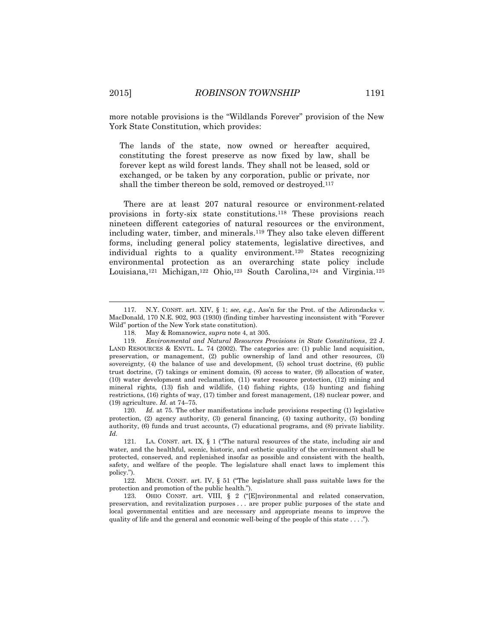more notable provisions is the "Wildlands Forever" provision of the New York State Constitution, which provides:

The lands of the state, now owned or hereafter acquired, constituting the forest preserve as now fixed by law, shall be forever kept as wild forest lands. They shall not be leased, sold or exchanged, or be taken by any corporation, public or private, nor shall the timber thereon be sold, removed or destroyed.<sup>117</sup>

There are at least 207 natural resource or environment-related provisions in forty-six state constitutions.<sup>118</sup> These provisions reach nineteen different categories of natural resources or the environment, including water, timber, and minerals. <sup>119</sup> They also take eleven different forms, including general policy statements, legislative directives, and individual rights to a quality environment.<sup>120</sup> States recognizing environmental protection as an overarching state policy include Louisiana,<sup>121</sup> Michigan,<sup>122</sup> Ohio,<sup>123</sup> South Carolina,<sup>124</sup> and Virginia.<sup>125</sup>

120. *Id.* at 75. The other manifestations include provisions respecting (1) legislative protection, (2) agency authority, (3) general financing, (4) taxing authority, (5) bonding authority, (6) funds and trust accounts, (7) educational programs, and (8) private liability. *Id.*

<sup>117.</sup> N.Y. CONST. art. XIV, § 1; *see, e.g.*, Ass'n for the Prot. of the Adirondacks v. MacDonald, 170 N.E. 902, 903 (1930) (finding timber harvesting inconsistent with "Forever Wild" portion of the New York state constitution).

<sup>118.</sup> May & Romanowicz, *supra* note 4, at 305.

<sup>119.</sup> *Environmental and Natural Resources Provisions in State Constitutions*, 22 J. LAND RESOURCES & ENVTL. L. 74 (2002). The categories are: (1) public land acquisition, preservation, or management, (2) public ownership of land and other resources, (3) sovereignty, (4) the balance of use and development, (5) school trust doctrine, (6) public trust doctrine, (7) takings or eminent domain, (8) access to water, (9) allocation of water, (10) water development and reclamation, (11) water resource protection, (12) mining and mineral rights, (13) fish and wildlife, (14) fishing rights, (15) hunting and fishing restrictions, (16) rights of way, (17) timber and forest management, (18) nuclear power, and (19) agriculture. *Id.* at 74–75.

<sup>121.</sup> LA. CONST. art. IX, § 1 ("The natural resources of the state, including air and water, and the healthful, scenic, historic, and esthetic quality of the environment shall be protected, conserved, and replenished insofar as possible and consistent with the health, safety, and welfare of the people. The legislature shall enact laws to implement this policy.").

<sup>122.</sup> MICH. CONST. art. IV, § 51 ("The legislature shall pass suitable laws for the protection and promotion of the public health.").

<sup>123.</sup> OHIO CONST. art. VIII, § 2 ("[E]nvironmental and related conservation, preservation, and revitalization purposes . . . are proper public purposes of the state and local governmental entities and are necessary and appropriate means to improve the quality of life and the general and economic well-being of the people of this state . . . .").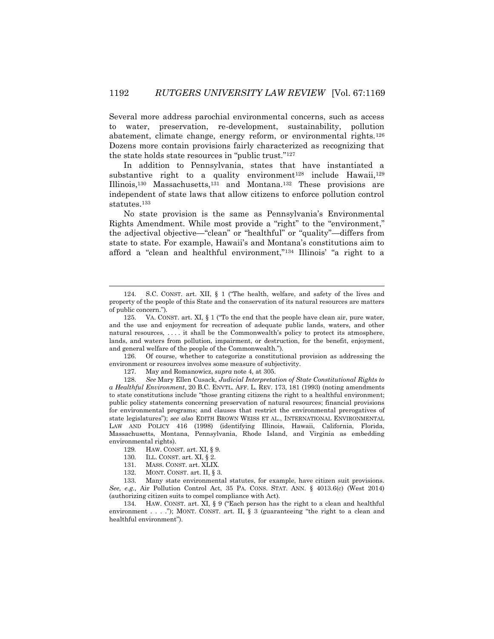Several more address parochial environmental concerns, such as access to water, preservation, re-development, sustainability, pollution abatement, climate change, energy reform, or environmental rights.<sup>126</sup> Dozens more contain provisions fairly characterized as recognizing that the state holds state resources in "public trust."<sup>127</sup>

In addition to Pennsylvania, states that have instantiated a substantive right to a quality environment<sup>128</sup> include Hawaii,<sup>129</sup> Illinois,<sup>130</sup> Massachusetts,<sup>131</sup> and Montana.<sup>132</sup> These provisions are independent of state laws that allow citizens to enforce pollution control statutes.<sup>133</sup>

No state provision is the same as Pennsylvania's Environmental Rights Amendment. While most provide a "right" to the "environment," the adjectival objective—"clean" or "healthful" or "quality"—differs from state to state. For example, Hawaii's and Montana's constitutions aim to afford a "clean and healthful environment,"<sup>134</sup> Illinois' "a right to a

126. Of course, whether to categorize a constitutional provision as addressing the environment or resources involves some measure of subjectivity.

128. *See* Mary Ellen Cusack, *Judicial Interpretation of State Constitutional Rights to a Healthful Environment*, 20 B.C. ENVTL. AFF. L. REV. 173, 181 (1993) (noting amendments to state constitutions include "those granting citizens the right to a healthful environment; public policy statements concerning preservation of natural resources; financial provisions for environmental programs; and clauses that restrict the environmental prerogatives of state legislatures"); *see also* EDITH BROWN WEISS ET AL., INTERNATIONAL ENVIRONMENTAL LAW AND POLICY 416 (1998) (identifying Illinois, Hawaii, California, Florida, Massachusetts, Montana, Pennsylvania, Rhode Island, and Virginia as embedding environmental rights).

130*.* ILL. CONST. art. XI, § 2.

l

- 131. MASS. CONST. art. XLIX.
- 132. MONT. CONST. art. II, § 3.

133. Many state environmental statutes, for example, have citizen suit provisions. *See, e.g.*, Air Pollution Control Act, 35 PA. CONS. STAT. ANN. § 4013.6(c) (West 2014) (authorizing citizen suits to compel compliance with Act).

134. HAW. CONST. art. XI, § 9 ("Each person has the right to a clean and healthful environment . . . ."); MONT. CONST. art. II,  $\S$  3 (guaranteeing "the right to a clean and healthful environment").

<sup>124.</sup> S.C. CONST. art. XII, § 1 ("The health, welfare, and safety of the lives and property of the people of this State and the conservation of its natural resources are matters of public concern.").

<sup>125.</sup> VA. CONST. art. XI, § 1 ("To the end that the people have clean air, pure water, and the use and enjoyment for recreation of adequate public lands, waters, and other natural resources, . . . . it shall be the Commonwealth's policy to protect its atmosphere, lands, and waters from pollution, impairment, or destruction, for the benefit, enjoyment, and general welfare of the people of the Commonwealth.").

<sup>127.</sup> May and Romanowicz, *supra* note 4, at 305.

<sup>129</sup>*.* HAW. CONST. art. XI, § 9.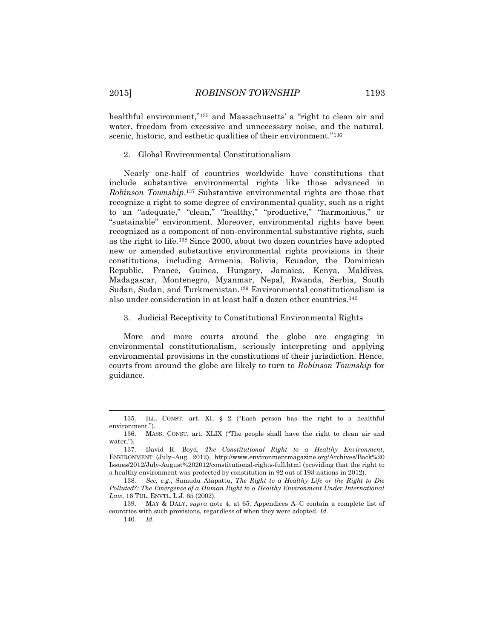healthful environment,"<sup>135</sup> and Massachusetts' a "right to clean air and water, freedom from excessive and unnecessary noise, and the natural, scenic, historic, and esthetic qualities of their environment."<sup>136</sup>

### 2. Global Environmental Constitutionalism

Nearly one-half of countries worldwide have constitutions that include substantive environmental rights like those advanced in *Robinson Township*. <sup>137</sup> Substantive environmental rights are those that recognize a right to some degree of environmental quality, such as a right to an "adequate," "clean," "healthy," "productive," "harmonious," or "sustainable" environment. Moreover, environmental rights have been recognized as a component of non-environmental substantive rights, such as the right to life.<sup>138</sup> Since 2000, about two dozen countries have adopted new or amended substantive environmental rights provisions in their constitutions, including Armenia, Bolivia, Ecuador, the Dominican Republic, France, Guinea, Hungary, Jamaica, Kenya, Maldives, Madagascar, Montenegro, Myanmar, Nepal, Rwanda, Serbia, South Sudan, Sudan, and Turkmenistan.<sup>139</sup> Environmental constitutionalism is also under consideration in at least half a dozen other countries.<sup>140</sup>

3. Judicial Receptivity to Constitutional Environmental Rights

More and more courts around the globe are engaging in environmental constitutionalism, seriously interpreting and applying environmental provisions in the constitutions of their jurisdiction. Hence, courts from around the globe are likely to turn to *Robinson Township* for guidance.

140*. Id.*

<sup>135.</sup> ILL. CONST. art. XI, § 2 ("Each person has the right to a healthful environment.").

<sup>136.</sup> MASS. CONST. art. XLIX ("The people shall have the right to clean air and water.").

<sup>137.</sup> David R. Boyd, *The Constitutional Right to a Healthy Environment*, ENVIRONMENT (July–Aug. 2012), http://www.environmentmagazine.org/Archives/Back%20 Issues/2012/July-August%202012/constitutional-rights-full.html (providing that the right to a healthy environment was protected by constitution in 92 out of 193 nations in 2012).

<sup>138.</sup> *See, e.g.*, Sumudu Atapattu, *The Right to a Healthy Life or the Right to Die Polluted?: The Emergence of a Human Right to a Healthy Environment Under International Law*, 16 TUL. ENVTL. L.J. 65 (2002).

<sup>139.</sup> MAY & DALY, *supra* note 4, at 65. Appendices A–C contain a complete list of countries with such provisions, regardless of when they were adopted. *Id.*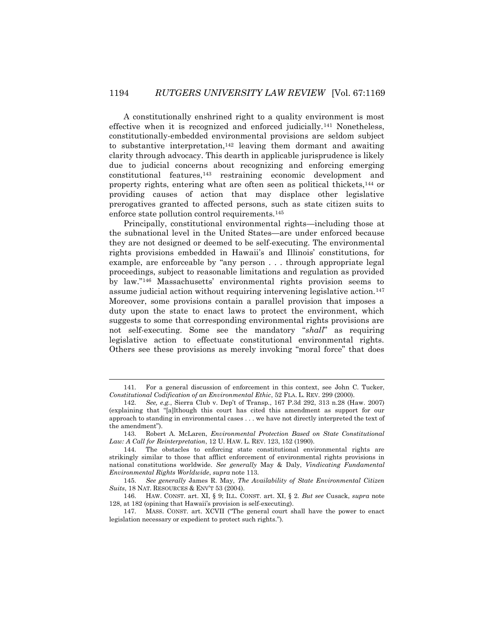A constitutionally enshrined right to a quality environment is most effective when it is recognized and enforced judicially.<sup>141</sup> Nonetheless, constitutionally-embedded environmental provisions are seldom subject to substantive interpretation, $142$  leaving them dormant and awaiting clarity through advocacy. This dearth in applicable jurisprudence is likely due to judicial concerns about recognizing and enforcing emerging constitutional features,<sup>143</sup> restraining economic development and property rights, entering what are often seen as political thickets,<sup>144</sup> or providing causes of action that may displace other legislative prerogatives granted to affected persons, such as state citizen suits to enforce state pollution control requirements.<sup>145</sup>

Principally, constitutional environmental rights—including those at the subnational level in the United States—are under enforced because they are not designed or deemed to be self-executing. The environmental rights provisions embedded in Hawaii's and Illinois' constitutions, for example, are enforceable by "any person . . . through appropriate legal proceedings, subject to reasonable limitations and regulation as provided by law."<sup>146</sup> Massachusetts' environmental rights provision seems to assume judicial action without requiring intervening legislative action.<sup>147</sup> Moreover, some provisions contain a parallel provision that imposes a duty upon the state to enact laws to protect the environment, which suggests to some that corresponding environmental rights provisions are not self-executing. Some see the mandatory "*shall*" as requiring legislative action to effectuate constitutional environmental rights. Others see these provisions as merely invoking "moral force" that does

<sup>141.</sup> For a general discussion of enforcement in this context, see John C. Tucker, *Constitutional Codification of an Environmental Ethic*, 52 FLA. L. REV. 299 (2000).

<sup>142.</sup> *See, e.g.*, Sierra Club v. Dep't of Transp., 167 P.3d 292, 313 n.28 (Haw. 2007) (explaining that "[a]lthough this court has cited this amendment as support for our approach to standing in environmental cases . . . we have not directly interpreted the text of the amendment").

<sup>143.</sup> Robert A. McLaren, *Environmental Protection Based on State Constitutional Law: A Call for Reinterpretation*, 12 U. HAW. L. REV. 123, 152 (1990).

<sup>144.</sup> The obstacles to enforcing state constitutional environmental rights are strikingly similar to those that afflict enforcement of environmental rights provisions in national constitutions worldwide. *See generally* May & Daly, *Vindicating Fundamental Environmental Rights Worldwide*, *supra* note 113.

<sup>145.</sup> *See generally* James R. May, *The Availability of State Environmental Citizen Suits*, 18 NAT. RESOURCES & ENV'T 53 (2004).

<sup>146.</sup> HAW. CONST. art. XI, § 9; ILL. CONST. art. XI, § 2. *But see* Cusack, *supra* note 128, at 182 (opining that Hawaii's provision is self-executing).

<sup>147.</sup> MASS. CONST. art. XCVII ("The general court shall have the power to enact legislation necessary or expedient to protect such rights.").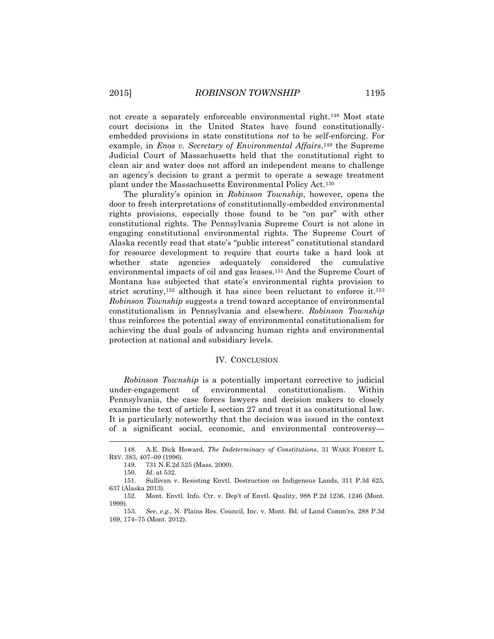not create a separately enforceable environmental right.<sup>148</sup> Most state court decisions in the United States have found constitutionallyembedded provisions in state constitutions *not* to be self-enforcing. For example, in *Enos v. Secretary of Environmental Affairs*,<sup>149</sup> the Supreme Judicial Court of Massachusetts held that the constitutional right to clean air and water does not afford an independent means to challenge an agency's decision to grant a permit to operate a sewage treatment plant under the Massachusetts Environmental Policy Act.<sup>150</sup>

The plurality's opinion in *Robinson Township*, however, opens the door to fresh interpretations of constitutionally-embedded environmental rights provisions, especially those found to be "on par" with other constitutional rights. The Pennsylvania Supreme Court is not alone in engaging constitutional environmental rights. The Supreme Court of Alaska recently read that state's "public interest" constitutional standard for resource development to require that courts take a hard look at whether state agencies adequately considered the cumulative environmental impacts of oil and gas leases.<sup>151</sup> And the Supreme Court of Montana has subjected that state's environmental rights provision to strict scrutiny,<sup>152</sup> although it has since been reluctant to enforce it.<sup>153</sup> *Robinson Township* suggests a trend toward acceptance of environmental constitutionalism in Pennsylvania and elsewhere. *Robinson Township*  thus reinforces the potential sway of environmental constitutionalism for achieving the dual goals of advancing human rights and environmental protection at national and subsidiary levels.

### IV. CONCLUSION

*Robinson Township* is a potentially important corrective to judicial under-engagement of environmental constitutionalism. Within Pennsylvania, the case forces lawyers and decision makers to closely examine the text of article I, section 27 and treat it as constitutional law. It is particularly noteworthy that the decision was issued in the context of a significant social, economic, and environmental controversy—

<sup>148.</sup> A.E. Dick Howard, *The Indeterminacy of Constitutions*, 31 WAKE FOREST L. REV. 383, 407–09 (1996).

<sup>149.</sup> 731 N.E.2d 525 (Mass. 2000).

<sup>150.</sup> *Id.* at 532.

<sup>151.</sup> Sullivan v. Resisting Envtl. Destruction on Indigenous Lands, 311 P.3d 625, 637 (Alaska 2013).

<sup>152.</sup> Mont. Envtl. Info. Ctr. v. Dep't of Envtl. Quality, 988 P.2d 1236, 1246 (Mont. 1999).

<sup>153.</sup> *See, e.g.*, N. Plains Res. Council, Inc. v. Mont. Bd. of Land Comm'rs, 288 P.3d 169, 174–75 (Mont. 2012).